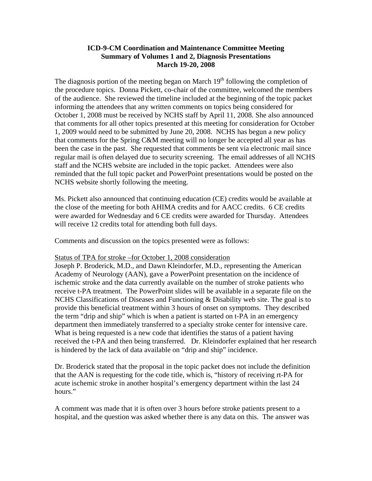The diagnosis portion of the meeting began on March  $19<sup>th</sup>$  following the completion of the procedure topics. Donna Pickett, co-chair of the committee, welcomed the members of the audience. She reviewed the timeline included at the beginning of the topic packet informing the attendees that any written comments on topics being considered for October 1, 2008 must be received by NCHS staff by April 11, 2008. She also announced that comments for all other topics presented at this meeting for consideration for October 1, 2009 would need to be submitted by June 20, 2008. NCHS has begun a new policy that comments for the Spring C&M meeting will no longer be accepted all year as has been the case in the past. She requested that comments be sent via electronic mail since regular mail is often delayed due to security screening. The email addresses of all NCHS staff and the NCHS website are included in the topic packet. Attendees were also reminded that the full topic packet and PowerPoint presentations would be posted on the NCHS website shortly following the meeting.

Ms. Pickett also announced that continuing education (CE) credits would be available at the close of the meeting for both AHIMA credits and for AACC credits. 6 CE credits were awarded for Wednesday and 6 CE credits were awarded for Thursday. Attendees will receive 12 credits total for attending both full days.

Comments and discussion on the topics presented were as follows:

#### Status of TPA for stroke –for October 1, 2008 consideration

Joseph P. Broderick, M.D., and Dawn Kleindorfer, M.D., representing the American Academy of Neurology (AAN), gave a PowerPoint presentation on the incidence of ischemic stroke and the data currently available on the number of stroke patients who receive t-PA treatment. The PowerPoint slides will be available in a separate file on the NCHS Classifications of Diseases and Functioning & Disability web site. The goal is to provide this beneficial treatment within 3 hours of onset on symptoms. They described the term "drip and ship" which is when a patient is started on t-PA in an emergency department then immediately transferred to a specialty stroke center for intensive care. What is being requested is a new code that identifies the status of a patient having received the t-PA and then being transferred. Dr. Kleindorfer explained that her research is hindered by the lack of data available on "drip and ship" incidence.

Dr. Broderick stated that the proposal in the topic packet does not include the definition that the AAN is requesting for the code title, which is, "history of receiving rt-PA for acute ischemic stroke in another hospital's emergency department within the last 24 hours."

A comment was made that it is often over 3 hours before stroke patients present to a hospital, and the question was asked whether there is any data on this. The answer was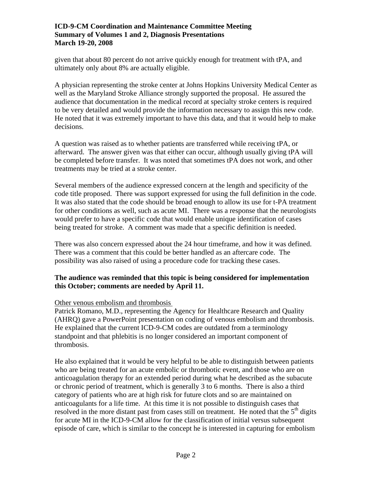given that about 80 percent do not arrive quickly enough for treatment with tPA, and ultimately only about 8% are actually eligible.

A physician representing the stroke center at Johns Hopkins University Medical Center as well as the Maryland Stroke Alliance strongly supported the proposal. He assured the audience that documentation in the medical record at specialty stroke centers is required to be very detailed and would provide the information necessary to assign this new code. He noted that it was extremely important to have this data, and that it would help to make decisions.

A question was raised as to whether patients are transferred while receiving tPA, or afterward. The answer given was that either can occur, although usually giving tPA will be completed before transfer. It was noted that sometimes tPA does not work, and other treatments may be tried at a stroke center.

Several members of the audience expressed concern at the length and specificity of the code title proposed. There was support expressed for using the full definition in the code. It was also stated that the code should be broad enough to allow its use for t-PA treatment for other conditions as well, such as acute MI. There was a response that the neurologists would prefer to have a specific code that would enable unique identification of cases being treated for stroke. A comment was made that a specific definition is needed.

There was also concern expressed about the 24 hour timeframe, and how it was defined. There was a comment that this could be better handled as an aftercare code. The possibility was also raised of using a procedure code for tracking these cases.

## **The audience was reminded that this topic is being considered for implementation this October; comments are needed by April 11.**

## Other venous embolism and thrombosis

Patrick Romano, M.D., representing the Agency for Healthcare Research and Quality (AHRQ) gave a PowerPoint presentation on coding of venous embolism and thrombosis. He explained that the current ICD-9-CM codes are outdated from a terminology standpoint and that phlebitis is no longer considered an important component of thrombosis.

He also explained that it would be very helpful to be able to distinguish between patients who are being treated for an acute embolic or thrombotic event, and those who are on anticoagulation therapy for an extended period during what he described as the subacute or chronic period of treatment, which is generally 3 to 6 months. There is also a third category of patients who are at high risk for future clots and so are maintained on anticoagulants for a life time. At this time it is not possible to distinguish cases that resolved in the more distant past from cases still on treatment. He noted that the  $5<sup>th</sup>$  digits for acute MI in the ICD-9-CM allow for the classification of initial versus subsequent episode of care, which is similar to the concept he is interested in capturing for embolism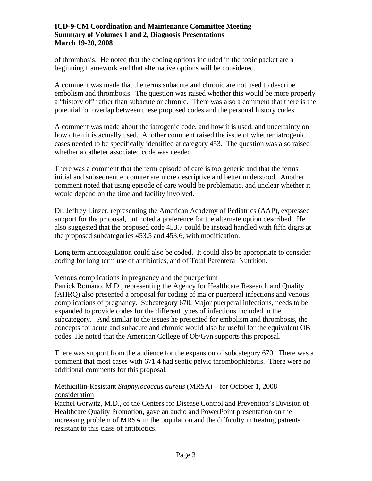of thrombosis. He noted that the coding options included in the topic packet are a beginning framework and that alternative options will be considered.

A comment was made that the terms subacute and chronic are not used to describe embolism and thrombosis. The question was raised whether this would be more properly a "history of" rather than subacute or chronic. There was also a comment that there is the potential for overlap between these proposed codes and the personal history codes.

A comment was made about the iatrogenic code, and how it is used, and uncertainty on how often it is actually used. Another comment raised the issue of whether iatrogenic cases needed to be specifically identified at category 453. The question was also raised whether a catheter associated code was needed.

There was a comment that the term episode of care is too generic and that the terms initial and subsequent encounter are more descriptive and better understood. Another comment noted that using episode of care would be problematic, and unclear whether it would depend on the time and facility involved.

Dr. Jeffrey Linzer, representing the American Academy of Pediatrics (AAP), expressed support for the proposal, but noted a preference for the alternate option described. He also suggested that the proposed code 453.7 could be instead handled with fifth digits at the proposed subcategories 453.5 and 453.6, with modification.

Long term anticoagulation could also be coded. It could also be appropriate to consider coding for long term use of antibiotics, and of Total Parenteral Nutrition.

## Venous complications in pregnancy and the puerperium

Patrick Romano, M.D., representing the Agency for Healthcare Research and Quality (AHRQ) also presented a proposal for coding of major puerperal infections and venous complications of pregnancy. Subcategory 670, Major puerperal infections, needs to be expanded to provide codes for the different types of infections included in the subcategory. And similar to the issues he presented for embolism and thrombosis, the concepts for acute and subacute and chronic would also be useful for the equivalent OB codes. He noted that the American College of Ob/Gyn supports this proposal.

There was support from the audience for the expansion of subcategory 670. There was a comment that most cases with 671.4 had septic pelvic thrombophlebitis. There were no additional comments for this proposal.

## Methicillin-Resistant *Staphylococcus aureus* (MRSA) – for October 1, 2008 consideration

Rachel Gorwitz, M.D., of the Centers for Disease Control and Prevention's Division of Healthcare Quality Promotion, gave an audio and PowerPoint presentation on the increasing problem of MRSA in the population and the difficulty in treating patients resistant to this class of antibiotics.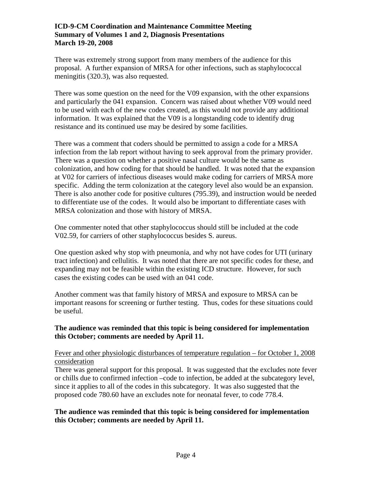There was extremely strong support from many members of the audience for this proposal. A further expansion of MRSA for other infections, such as staphylococcal meningitis (320.3), was also requested.

There was some question on the need for the V09 expansion, with the other expansions and particularly the 041 expansion. Concern was raised about whether V09 would need to be used with each of the new codes created, as this would not provide any additional information. It was explained that the V09 is a longstanding code to identify drug resistance and its continued use may be desired by some facilities.

There was a comment that coders should be permitted to assign a code for a MRSA infection from the lab report without having to seek approval from the primary provider. There was a question on whether a positive nasal culture would be the same as colonization, and how coding for that should be handled. It was noted that the expansion at V02 for carriers of infectious diseases would make coding for carriers of MRSA more specific. Adding the term colonization at the category level also would be an expansion. There is also another code for positive cultures (795.39), and instruction would be needed to differentiate use of the codes. It would also be important to differentiate cases with MRSA colonization and those with history of MRSA.

One commenter noted that other staphylococcus should still be included at the code V02.59, for carriers of other staphylococcus besides S. aureus.

One question asked why stop with pneumonia, and why not have codes for UTI (urinary tract infection) and cellulitis. It was noted that there are not specific codes for these, and expanding may not be feasible within the existing ICD structure. However, for such cases the existing codes can be used with an 041 code.

Another comment was that family history of MRSA and exposure to MRSA can be important reasons for screening or further testing. Thus, codes for these situations could be useful.

# **The audience was reminded that this topic is being considered for implementation this October; comments are needed by April 11.**

## Fever and other physiologic disturbances of temperature regulation – for October 1, 2008 consideration

There was general support for this proposal. It was suggested that the excludes note fever or chills due to confirmed infection –code to infection, be added at the subcategory level, since it applies to all of the codes in this subcategory. It was also suggested that the proposed code 780.60 have an excludes note for neonatal fever, to code 778.4.

# **The audience was reminded that this topic is being considered for implementation this October; comments are needed by April 11.**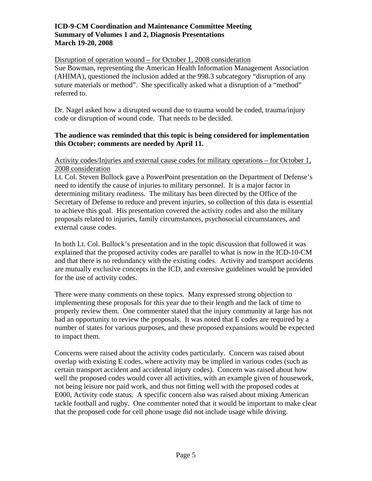#### Disruption of operation wound – for October 1, 2008 consideration

Sue Bowman, representing the American Health Information Management Association (AHIMA), questioned the inclusion added at the 998.3 subcategory "disruption of any suture materials or method". She specifically asked what a disruption of a "method" referred to.

Dr. Nagel asked how a disrupted wound due to trauma would be coded, trauma/injury code or disruption of wound code. That needs to be decided.

## **The audience was reminded that this topic is being considered for implementation this October; comments are needed by April 11.**

### Activity codes/Injuries and external cause codes for military operations – for October 1, 2008 consideration

Lt. Col. Steven Bullock gave a PowerPoint presentation on the Department of Defense's need to identify the cause of injuries to military personnel. It is a major factor in determining military readiness. The military has been directed by the Office of the Secretary of Defense to reduce and prevent injuries, so collection of this data is essential to achieve this goal. His presentation covered the activity codes and also the military proposals related to injuries, family circumstances, psychosocial circumstances, and external cause codes.

In both Lt. Col. Bullock's presentation and in the topic discussion that followed it was explained that the proposed activity codes are parallel to what is now in the ICD-10-CM and that there is no redundancy with the existing codes. Activity and transport accidents are mutually exclusive concepts in the ICD, and extensive guidelines would be provided for the use of activity codes.

There were many comments on these topics. Many expressed strong objection to implementing these proposals for this year due to their length and the lack of time to properly review them. One commenter stated that the injury community at large has not had an opportunity to review the proposals. It was noted that E codes are required by a number of states for various purposes, and these proposed expansions would be expected to impact them.

Concerns were raised about the activity codes particularly. Concern was raised about overlap with existing E codes, where activity may be implied in various codes (such as certain transport accident and accidental injury codes). Concern was raised about how well the proposed codes would cover all activities, with an example given of housework, not being leisure nor paid work, and thus not fitting well with the proposed codes at E000, Activity code status. A specific concern also was raised about mixing American tackle football and rugby. One commenter noted that it would be important to make clear that the proposed code for cell phone usage did not include usage while driving.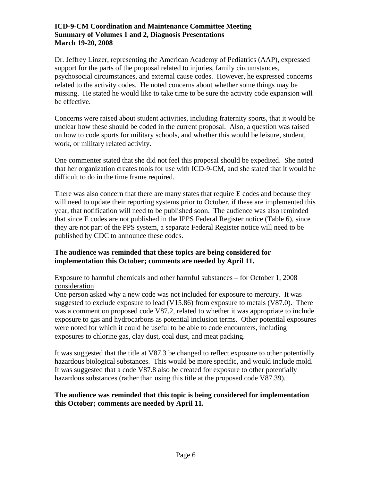Dr. Jeffrey Linzer, representing the American Academy of Pediatrics (AAP), expressed support for the parts of the proposal related to injuries, family circumstances, psychosocial circumstances, and external cause codes. However, he expressed concerns related to the activity codes. He noted concerns about whether some things may be missing. He stated he would like to take time to be sure the activity code expansion will be effective.

Concerns were raised about student activities, including fraternity sports, that it would be unclear how these should be coded in the current proposal. Also, a question was raised on how to code sports for military schools, and whether this would be leisure, student, work, or military related activity.

One commenter stated that she did not feel this proposal should be expedited. She noted that her organization creates tools for use with ICD-9-CM, and she stated that it would be difficult to do in the time frame required.

There was also concern that there are many states that require E codes and because they will need to update their reporting systems prior to October, if these are implemented this year, that notification will need to be published soon. The audience was also reminded that since E codes are not published in the IPPS Federal Register notice (Table 6), since they are not part of the PPS system, a separate Federal Register notice will need to be published by CDC to announce these codes.

### **The audience was reminded that these topics are being considered for implementation this October; comments are needed by April 11.**

## Exposure to harmful chemicals and other harmful substances – for October 1, 2008 consideration

One person asked why a new code was not included for exposure to mercury. It was suggested to exclude exposure to lead (V15.86) from exposure to metals (V87.0). There was a comment on proposed code V87.2, related to whether it was appropriate to include exposure to gas and hydrocarbons as potential inclusion terms. Other potential exposures were noted for which it could be useful to be able to code encounters, including exposures to chlorine gas, clay dust, coal dust, and meat packing.

It was suggested that the title at V87.3 be changed to reflect exposure to other potentially hazardous biological substances. This would be more specific, and would include mold. It was suggested that a code V87.8 also be created for exposure to other potentially hazardous substances (rather than using this title at the proposed code V87.39).

## **The audience was reminded that this topic is being considered for implementation this October; comments are needed by April 11.**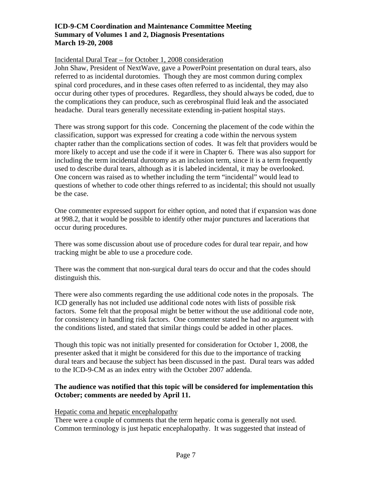#### Incidental Dural Tear – for October 1, 2008 consideration

John Shaw, President of NextWave, gave a PowerPoint presentation on dural tears, also referred to as incidental durotomies. Though they are most common during complex spinal cord procedures, and in these cases often referred to as incidental, they may also occur during other types of procedures. Regardless, they should always be coded, due to the complications they can produce, such as cerebrospinal fluid leak and the associated headache. Dural tears generally necessitate extending in-patient hospital stays.

There was strong support for this code. Concerning the placement of the code within the classification, support was expressed for creating a code within the nervous system chapter rather than the complications section of codes. It was felt that providers would be more likely to accept and use the code if it were in Chapter 6. There was also support for including the term incidental durotomy as an inclusion term, since it is a term frequently used to describe dural tears, although as it is labeled incidental, it may be overlooked. One concern was raised as to whether including the term "incidental" would lead to questions of whether to code other things referred to as incidental; this should not usually be the case.

One commenter expressed support for either option, and noted that if expansion was done at 998.2, that it would be possible to identify other major punctures and lacerations that occur during procedures.

There was some discussion about use of procedure codes for dural tear repair, and how tracking might be able to use a procedure code.

There was the comment that non-surgical dural tears do occur and that the codes should distinguish this.

There were also comments regarding the use additional code notes in the proposals. The ICD generally has not included use additional code notes with lists of possible risk factors. Some felt that the proposal might be better without the use additional code note, for consistency in handling risk factors. One commenter stated he had no argument with the conditions listed, and stated that similar things could be added in other places.

Though this topic was not initially presented for consideration for October 1, 2008, the presenter asked that it might be considered for this due to the importance of tracking dural tears and because the subject has been discussed in the past. Dural tears was added to the ICD-9-CM as an index entry with the October 2007 addenda.

### **The audience was notified that this topic will be considered for implementation this October; comments are needed by April 11.**

#### Hepatic coma and hepatic encephalopathy

There were a couple of comments that the term hepatic coma is generally not used. Common terminology is just hepatic encephalopathy. It was suggested that instead of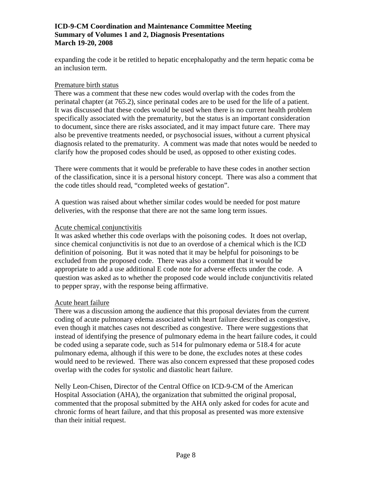expanding the code it be retitled to hepatic encephalopathy and the term hepatic coma be an inclusion term.

### Premature birth status

There was a comment that these new codes would overlap with the codes from the perinatal chapter (at 765.2), since perinatal codes are to be used for the life of a patient. It was discussed that these codes would be used when there is no current health problem specifically associated with the prematurity, but the status is an important consideration to document, since there are risks associated, and it may impact future care. There may also be preventive treatments needed, or psychosocial issues, without a current physical diagnosis related to the prematurity. A comment was made that notes would be needed to clarify how the proposed codes should be used, as opposed to other existing codes.

There were comments that it would be preferable to have these codes in another section of the classification, since it is a personal history concept. There was also a comment that the code titles should read, "completed weeks of gestation".

A question was raised about whether similar codes would be needed for post mature deliveries, with the response that there are not the same long term issues.

### Acute chemical conjunctivitis

It was asked whether this code overlaps with the poisoning codes. It does not overlap, since chemical conjunctivitis is not due to an overdose of a chemical which is the ICD definition of poisoning. But it was noted that it may be helpful for poisonings to be excluded from the proposed code. There was also a comment that it would be appropriate to add a use additional E code note for adverse effects under the code. A question was asked as to whether the proposed code would include conjunctivitis related to pepper spray, with the response being affirmative.

## Acute heart failure

There was a discussion among the audience that this proposal deviates from the current coding of acute pulmonary edema associated with heart failure described as congestive, even though it matches cases not described as congestive. There were suggestions that instead of identifying the presence of pulmonary edema in the heart failure codes, it could be coded using a separate code, such as 514 for pulmonary edema or 518.4 for acute pulmonary edema, although if this were to be done, the excludes notes at these codes would need to be reviewed. There was also concern expressed that these proposed codes overlap with the codes for systolic and diastolic heart failure.

Nelly Leon-Chisen, Director of the Central Office on ICD-9-CM of the American Hospital Association (AHA), the organization that submitted the original proposal, commented that the proposal submitted by the AHA only asked for codes for acute and chronic forms of heart failure, and that this proposal as presented was more extensive than their initial request.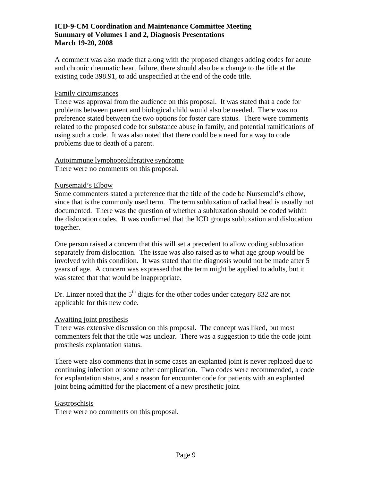A comment was also made that along with the proposed changes adding codes for acute and chronic rheumatic heart failure, there should also be a change to the title at the existing code 398.91, to add unspecified at the end of the code title.

### Family circumstances

There was approval from the audience on this proposal. It was stated that a code for problems between parent and biological child would also be needed. There was no preference stated between the two options for foster care status. There were comments related to the proposed code for substance abuse in family, and potential ramifications of using such a code. It was also noted that there could be a need for a way to code problems due to death of a parent.

#### Autoimmune lymphoproliferative syndrome There were no comments on this proposal.

## Nursemaid's Elbow

Some commenters stated a preference that the title of the code be Nursemaid's elbow, since that is the commonly used term. The term subluxation of radial head is usually not documented. There was the question of whether a subluxation should be coded within the dislocation codes. It was confirmed that the ICD groups subluxation and dislocation together.

One person raised a concern that this will set a precedent to allow coding subluxation separately from dislocation. The issue was also raised as to what age group would be involved with this condition. It was stated that the diagnosis would not be made after 5 years of age. A concern was expressed that the term might be applied to adults, but it was stated that that would be inappropriate.

Dr. Linzer noted that the  $5<sup>th</sup>$  digits for the other codes under category 832 are not applicable for this new code.

#### Awaiting joint prosthesis

There was extensive discussion on this proposal. The concept was liked, but most commenters felt that the title was unclear. There was a suggestion to title the code joint prosthesis explantation status.

There were also comments that in some cases an explanted joint is never replaced due to continuing infection or some other complication. Two codes were recommended, a code for explantation status, and a reason for encounter code for patients with an explanted joint being admitted for the placement of a new prosthetic joint.

#### Gastroschisis

There were no comments on this proposal.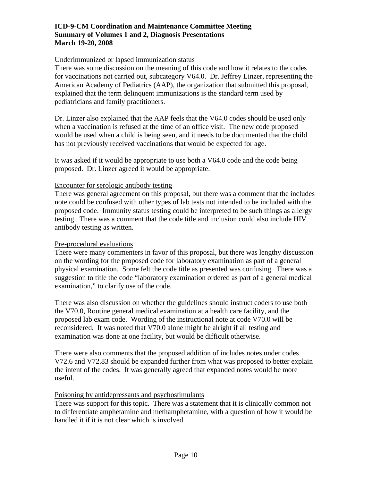#### Underimmunized or lapsed immunization status

There was some discussion on the meaning of this code and how it relates to the codes for vaccinations not carried out, subcategory V64.0. Dr. Jeffrey Linzer, representing the American Academy of Pediatrics (AAP), the organization that submitted this proposal, explained that the term delinquent immunizations is the standard term used by pediatricians and family practitioners.

Dr. Linzer also explained that the AAP feels that the V64.0 codes should be used only when a vaccination is refused at the time of an office visit. The new code proposed would be used when a child is being seen, and it needs to be documented that the child has not previously received vaccinations that would be expected for age.

It was asked if it would be appropriate to use both a V64.0 code and the code being proposed. Dr. Linzer agreed it would be appropriate.

### Encounter for serologic antibody testing

There was general agreement on this proposal, but there was a comment that the includes note could be confused with other types of lab tests not intended to be included with the proposed code. Immunity status testing could be interpreted to be such things as allergy testing. There was a comment that the code title and inclusion could also include HIV antibody testing as written.

#### Pre-procedural evaluations

There were many commenters in favor of this proposal, but there was lengthy discussion on the wording for the proposed code for laboratory examination as part of a general physical examination. Some felt the code title as presented was confusing. There was a suggestion to title the code "laboratory examination ordered as part of a general medical examination," to clarify use of the code.

There was also discussion on whether the guidelines should instruct coders to use both the V70.0, Routine general medical examination at a health care facility, and the proposed lab exam code. Wording of the instructional note at code V70.0 will be reconsidered. It was noted that V70.0 alone might be alright if all testing and examination was done at one facility, but would be difficult otherwise.

There were also comments that the proposed addition of includes notes under codes V72.6 and V72.83 should be expanded further from what was proposed to better explain the intent of the codes. It was generally agreed that expanded notes would be more useful.

#### Poisoning by antidepressants and psychostimulants

There was support for this topic. There was a statement that it is clinically common not to differentiate amphetamine and methamphetamine, with a question of how it would be handled it if it is not clear which is involved.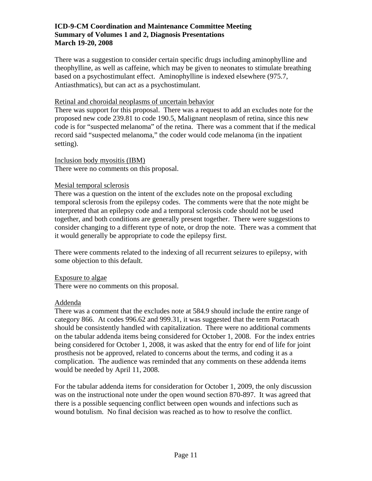There was a suggestion to consider certain specific drugs including aminophylline and theophylline, as well as caffeine, which may be given to neonates to stimulate breathing based on a psychostimulant effect. Aminophylline is indexed elsewhere (975.7, Antiasthmatics), but can act as a psychostimulant.

### Retinal and choroidal neoplasms of uncertain behavior

There was support for this proposal. There was a request to add an excludes note for the proposed new code 239.81 to code 190.5, Malignant neoplasm of retina, since this new code is for "suspected melanoma" of the retina. There was a comment that if the medical record said "suspected melanoma," the coder would code melanoma (in the inpatient setting).

### Inclusion body myositis (IBM)

There were no comments on this proposal.

### Mesial temporal sclerosis

There was a question on the intent of the excludes note on the proposal excluding temporal sclerosis from the epilepsy codes. The comments were that the note might be interpreted that an epilepsy code and a temporal sclerosis code should not be used together, and both conditions are generally present together. There were suggestions to consider changing to a different type of note, or drop the note. There was a comment that it would generally be appropriate to code the epilepsy first.

There were comments related to the indexing of all recurrent seizures to epilepsy, with some objection to this default.

#### Exposure to algae

There were no comments on this proposal.

## Addenda

There was a comment that the excludes note at 584.9 should include the entire range of category 866. At codes 996.62 and 999.31, it was suggested that the term Portacath should be consistently handled with capitalization. There were no additional comments on the tabular addenda items being considered for October 1, 2008. For the index entries being considered for October 1, 2008, it was asked that the entry for end of life for joint prosthesis not be approved, related to concerns about the terms, and coding it as a complication. The audience was reminded that any comments on these addenda items would be needed by April 11, 2008.

For the tabular addenda items for consideration for October 1, 2009, the only discussion was on the instructional note under the open wound section 870-897. It was agreed that there is a possible sequencing conflict between open wounds and infections such as wound botulism. No final decision was reached as to how to resolve the conflict.